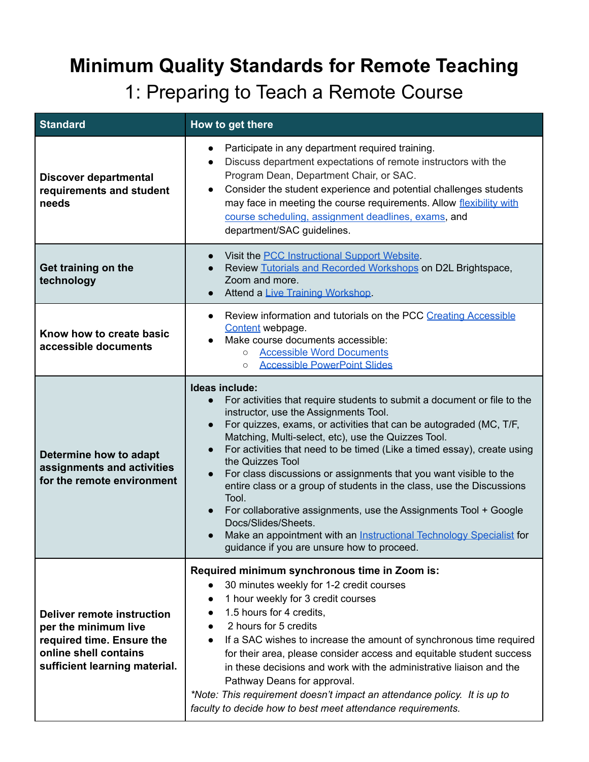## **Minimum Quality Standards for Remote Teaching**

1: Preparing to Teach a Remote Course

| <b>Standard</b>                                                                                                                                  | How to get there                                                                                                                                                                                                                                                                                                                                                                                                                                                                                                                                                                                                                                                                                                                                                              |
|--------------------------------------------------------------------------------------------------------------------------------------------------|-------------------------------------------------------------------------------------------------------------------------------------------------------------------------------------------------------------------------------------------------------------------------------------------------------------------------------------------------------------------------------------------------------------------------------------------------------------------------------------------------------------------------------------------------------------------------------------------------------------------------------------------------------------------------------------------------------------------------------------------------------------------------------|
| <b>Discover departmental</b><br>requirements and student<br>needs                                                                                | Participate in any department required training.<br>$\bullet$<br>Discuss department expectations of remote instructors with the<br>$\bullet$<br>Program Dean, Department Chair, or SAC.<br>Consider the student experience and potential challenges students<br>$\bullet$<br>may face in meeting the course requirements. Allow flexibility with<br>course scheduling, assignment deadlines, exams, and<br>department/SAC guidelines.                                                                                                                                                                                                                                                                                                                                         |
| Get training on the<br>technology                                                                                                                | Visit the <b>PCC</b> Instructional Support Website.<br>Review Tutorials and Recorded Workshops on D2L Brightspace,<br>Zoom and more.<br>Attend a Live Training Workshop.                                                                                                                                                                                                                                                                                                                                                                                                                                                                                                                                                                                                      |
| Know how to create basic<br>accessible documents                                                                                                 | Review information and tutorials on the PCC Creating Accessible<br>$\bullet$<br>Content webpage.<br>Make course documents accessible:<br><b>Accessible Word Documents</b><br>$\circ$<br><b>Accessible PowerPoint Slides</b><br>$\circ$                                                                                                                                                                                                                                                                                                                                                                                                                                                                                                                                        |
| Determine how to adapt<br>assignments and activities<br>for the remote environment                                                               | Ideas include:<br>For activities that require students to submit a document or file to the<br>$\bullet$<br>instructor, use the Assignments Tool.<br>For quizzes, exams, or activities that can be autograded (MC, T/F,<br>$\bullet$<br>Matching, Multi-select, etc), use the Quizzes Tool.<br>For activities that need to be timed (Like a timed essay), create using<br>the Quizzes Tool<br>For class discussions or assignments that you want visible to the<br>$\bullet$<br>entire class or a group of students in the class, use the Discussions<br>Tool.<br>For collaborative assignments, use the Assignments Tool + Google<br>Docs/Slides/Sheets.<br>Make an appointment with an Instructional Technology Specialist for<br>guidance if you are unsure how to proceed. |
| <b>Deliver remote instruction</b><br>per the minimum live<br>required time. Ensure the<br>online shell contains<br>sufficient learning material. | Required minimum synchronous time in Zoom is:<br>30 minutes weekly for 1-2 credit courses<br>1 hour weekly for 3 credit courses<br>1.5 hours for 4 credits,<br>2 hours for 5 credits<br>If a SAC wishes to increase the amount of synchronous time required<br>for their area, please consider access and equitable student success<br>in these decisions and work with the administrative liaison and the<br>Pathway Deans for approval.<br>*Note: This requirement doesn't impact an attendance policy. It is up to<br>faculty to decide how to best meet attendance requirements.                                                                                                                                                                                          |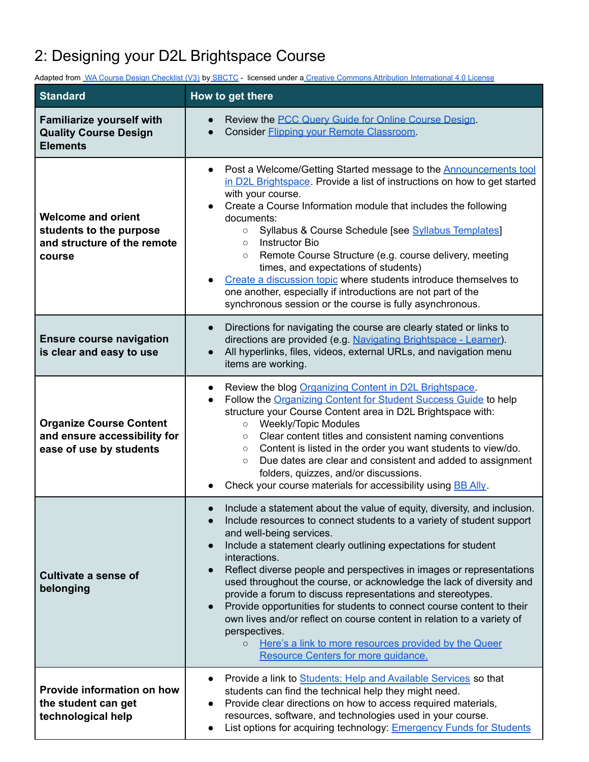## 2: Designing your D2L Brightspace Course

Adapted from WA Course Design [Checklist](https://docs.google.com/document/d/1tU1_jNupFhNDs811kLEyNSMmrERIBmDplrsmH1DRs4o/edit?usp=sharing) (V3) by [SBCTC](https://www.sbctc.edu/default.aspx) - licensed under a Creative Commons Attribution [International](http://creativecommons.org/licenses/by/4.0) 4.0 Lic[e](https://docs.google.com/document/d/1tU1_jNupFhNDs811kLEyNSMmrERIBmDplrsmH1DRs4o/edit?usp=sharing)nse

| <b>Standard</b>                                                                               | How to get there                                                                                                                                                                                                                                                                                                                                                                                                                                                                                                                                                                                                                                                                                                                                                            |
|-----------------------------------------------------------------------------------------------|-----------------------------------------------------------------------------------------------------------------------------------------------------------------------------------------------------------------------------------------------------------------------------------------------------------------------------------------------------------------------------------------------------------------------------------------------------------------------------------------------------------------------------------------------------------------------------------------------------------------------------------------------------------------------------------------------------------------------------------------------------------------------------|
| <b>Familiarize yourself with</b><br><b>Quality Course Design</b><br><b>Elements</b>           | Review the <b>PCC</b> Query Guide for Online Course Design.<br>Consider Flipping your Remote Classroom.                                                                                                                                                                                                                                                                                                                                                                                                                                                                                                                                                                                                                                                                     |
| <b>Welcome and orient</b><br>students to the purpose<br>and structure of the remote<br>course | Post a Welcome/Getting Started message to the <b>Announcements</b> tool<br>$\bullet$<br>in D2L Brightspace. Provide a list of instructions on how to get started<br>with your course.<br>Create a Course Information module that includes the following<br>documents:<br>Syllabus & Course Schedule [see Syllabus Templates]<br>$\circ$<br><b>Instructor Bio</b><br>$\circ$<br>Remote Course Structure (e.g. course delivery, meeting<br>$\circ$<br>times, and expectations of students)<br>Create a discussion topic where students introduce themselves to<br>one another, especially if introductions are not part of the<br>synchronous session or the course is fully asynchronous.                                                                                    |
| <b>Ensure course navigation</b><br>is clear and easy to use                                   | Directions for navigating the course are clearly stated or links to<br>directions are provided (e.g. Navigating Brightspace - Learner).<br>All hyperlinks, files, videos, external URLs, and navigation menu<br>items are working.                                                                                                                                                                                                                                                                                                                                                                                                                                                                                                                                          |
| <b>Organize Course Content</b><br>and ensure accessibility for<br>ease of use by students     | Review the blog Organizing Content in D2L Brightspace.<br>Follow the Organizing Content for Student Success Guide to help<br>$\bullet$<br>structure your Course Content area in D2L Brightspace with:<br><b>Weekly/Topic Modules</b><br>$\circ$<br>Clear content titles and consistent naming conventions<br>$\circ$<br>Content is listed in the order you want students to view/do.<br>$\circ$<br>Due dates are clear and consistent and added to assignment<br>$\circ$<br>folders, quizzes, and/or discussions.<br>Check your course materials for accessibility using BB Ally.                                                                                                                                                                                           |
| Cultivate a sense of<br>belonging                                                             | Include a statement about the value of equity, diversity, and inclusion.<br>Include resources to connect students to a variety of student support<br>and well-being services.<br>Include a statement clearly outlining expectations for student<br>interactions.<br>Reflect diverse people and perspectives in images or representations<br>used throughout the course, or acknowledge the lack of diversity and<br>provide a forum to discuss representations and stereotypes.<br>Provide opportunities for students to connect course content to their<br>$\bullet$<br>own lives and/or reflect on course content in relation to a variety of<br>perspectives.<br>Here's a link to more resources provided by the Queer<br>$\circ$<br>Resource Centers for more guidance. |
| Provide information on how<br>the student can get<br>technological help                       | Provide a link to Students: Help and Available Services so that<br>students can find the technical help they might need.<br>Provide clear directions on how to access required materials,<br>resources, software, and technologies used in your course.<br>List options for acquiring technology: <b>Emergency Funds for Students</b>                                                                                                                                                                                                                                                                                                                                                                                                                                       |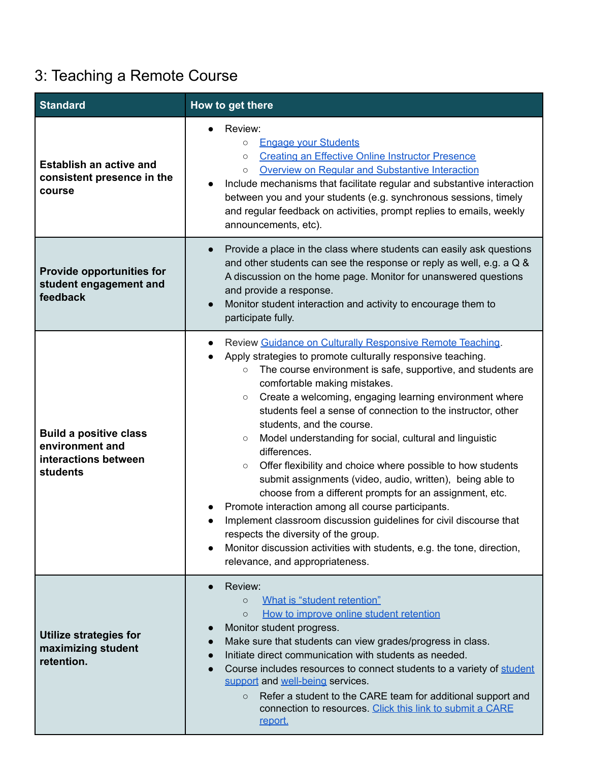## 3: Teaching a Remote Course

| <b>Standard</b>                                                                      | How to get there                                                                                                                                                                                                                                                                                                                                                                                                                                                                                                                                                                                                                                                                                                                                                                                                                                                                                                                                                                |
|--------------------------------------------------------------------------------------|---------------------------------------------------------------------------------------------------------------------------------------------------------------------------------------------------------------------------------------------------------------------------------------------------------------------------------------------------------------------------------------------------------------------------------------------------------------------------------------------------------------------------------------------------------------------------------------------------------------------------------------------------------------------------------------------------------------------------------------------------------------------------------------------------------------------------------------------------------------------------------------------------------------------------------------------------------------------------------|
| <b>Establish an active and</b><br>consistent presence in the<br>course               | Review:<br><b>Engage vour Students</b><br>$\circ$<br><b>Creating an Effective Online Instructor Presence</b><br>$\circ$<br>Overview on Regular and Substantive Interaction<br>$\circ$<br>Include mechanisms that facilitate regular and substantive interaction<br>between you and your students (e.g. synchronous sessions, timely<br>and regular feedback on activities, prompt replies to emails, weekly<br>announcements, etc).                                                                                                                                                                                                                                                                                                                                                                                                                                                                                                                                             |
| <b>Provide opportunities for</b><br>student engagement and<br>feedback               | Provide a place in the class where students can easily ask questions<br>and other students can see the response or reply as well, e.g. a Q &<br>A discussion on the home page. Monitor for unanswered questions<br>and provide a response.<br>Monitor student interaction and activity to encourage them to<br>participate fully.                                                                                                                                                                                                                                                                                                                                                                                                                                                                                                                                                                                                                                               |
| <b>Build a positive class</b><br>environment and<br>interactions between<br>students | Review Guidance on Culturally Responsive Remote Teaching.<br>Apply strategies to promote culturally responsive teaching.<br>The course environment is safe, supportive, and students are<br>$\circ$<br>comfortable making mistakes.<br>Create a welcoming, engaging learning environment where<br>$\circ$<br>students feel a sense of connection to the instructor, other<br>students, and the course.<br>Model understanding for social, cultural and linguistic<br>$\circ$<br>differences.<br>Offer flexibility and choice where possible to how students<br>$\circ$<br>submit assignments (video, audio, written), being able to<br>choose from a different prompts for an assignment, etc.<br>Promote interaction among all course participants.<br>Implement classroom discussion guidelines for civil discourse that<br>respects the diversity of the group.<br>Monitor discussion activities with students, e.g. the tone, direction,<br>relevance, and appropriateness. |
| <b>Utilize strategies for</b><br>maximizing student<br>retention.                    | Review:<br>What is "student retention"<br>$\circ$<br>How to improve online student retention<br>$\Omega$<br>Monitor student progress.<br>Make sure that students can view grades/progress in class.<br>Initiate direct communication with students as needed.<br>Course includes resources to connect students to a variety of student<br>support and well-being services.<br>Refer a student to the CARE team for additional support and<br>$\circ$<br>connection to resources. Click this link to submit a CARE<br><u>report.</u>                                                                                                                                                                                                                                                                                                                                                                                                                                             |